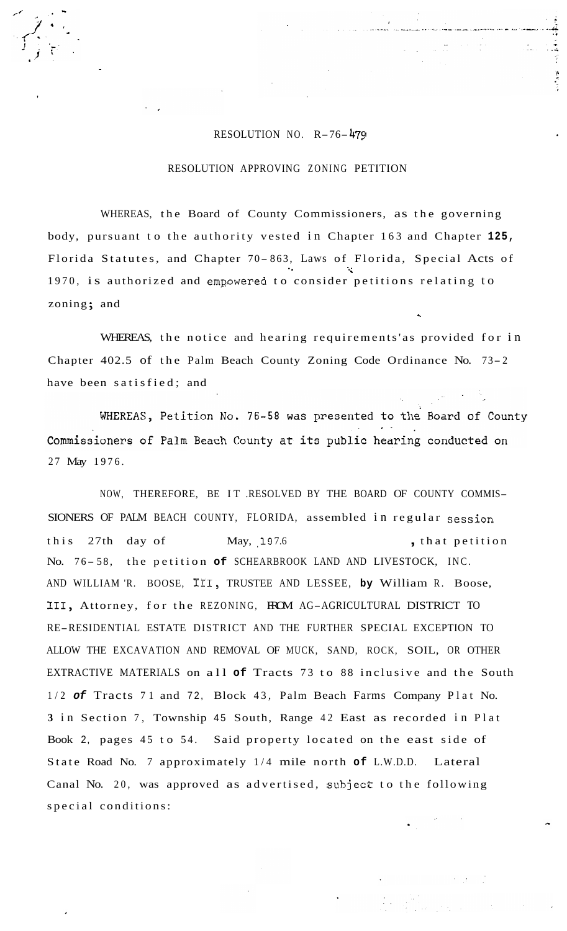## RESOLUTION NO. R-76-479

,

## RESOLUTION APPROVING ZONING PETITION

WHEREAS, the Board of County Commissioners, as the governing body, pursuant to the authority vested in Chapter 163 and Chapter **125,**  Florida Statutes, and Chapter 70-863, Laws of Florida, Special Acts of 1970, is authorized and empowered to consider petitions relating to zoning; and .I

WHEREAS, the notice and hearing requirements'as provided for in Chapter 402.5 of the Palm Beach County Zoning Code Ordinance No. 73- <sup>2</sup> have been satisfied; and

WHEREAS, Petition No. 76-58 was presented to the Board of County Commissioners of Palm Beach County at its public hearing conducted on 27 May 1976.

NOW, THEREFORE, BE IT .RESOLVED BY THE BOARD OF COUNTY COMMIS-SIONERS OF PALM BEACH COUNTY, FLORIDA, assembled in regular session this 27th day of May, 197.6 , that petition No. 76-58, the petition of SCHEARBROOK LAND AND LIVESTOCK, INC. AND WILLIAM 'R. BOOSE, 111, TRUSTEE AND LESSEE, **by** William R. Boose, 111, Attorney, for the REZONING, FROM AG-AGRICULTURAL DISTRICT TO RE-RESIDENTIAL ESTATE DISTRICT AND THE FURTHER SPECIAL EXCEPTION TO ALLOW THE EXCAVATION AND REMOVAL OF MUCK, SAND, ROCK, SOIL, OR OTHER EXTRACTIVE MATERIALS on all **of** Tracts 73 to 88 inclusive and the South 1/2 *of* Tracts 71 and 72, Block 43, Palm Beach Farms Company Plat No. **3** in Section 7, Township 45 South, Range 42 East as recorded in Plat Book 2, pages 45 to 54. Said property located on the east side of State Road No. 7 approximately 1/4 mile north **of** L.W.D.D. Lateral Canal No. 20, was approved as advertised, subject to the following special conditions: